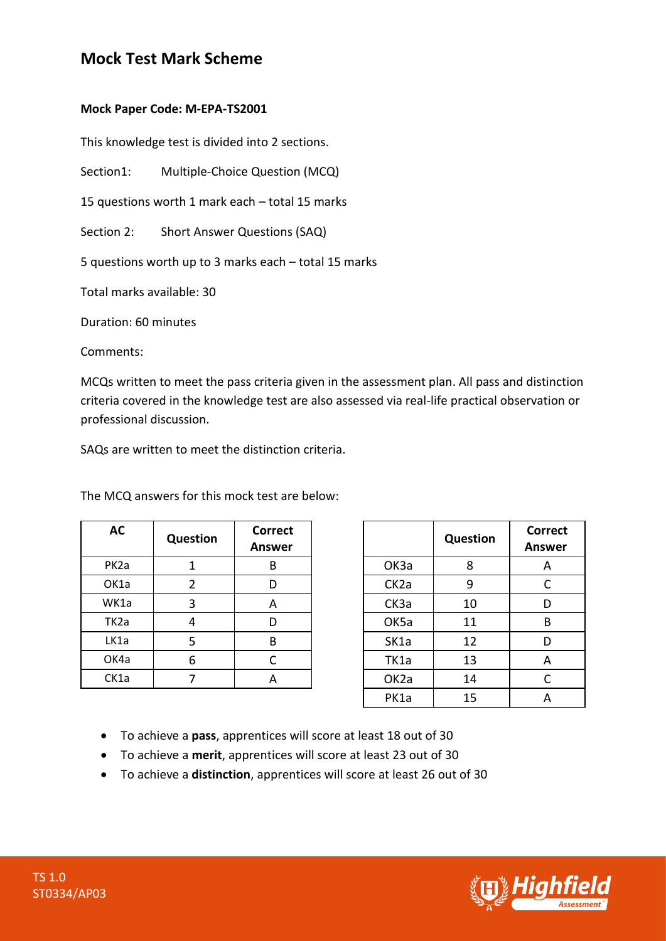## **Mock Test Mark Scheme**

## **Mock Paper Code: M-EPA-TS2001**

This knowledge test is divided into 2 sections.

Section1: Multiple-Choice Question (MCQ)

15 questions worth 1 mark each – total 15 marks

Section 2: Short Answer Questions (SAQ)

5 questions worth up to 3 marks each – total 15 marks

Total marks available: 30

Duration: 60 minutes

Comments:

MCQs written to meet the pass criteria given in the assessment plan. All pass and distinction criteria covered in the knowledge test are also assessed via real-life practical observation or professional discussion.

SAQs are written to meet the distinction criteria.

The MCQ answers for this mock test are below:

| <b>AC</b>         | Question | <b>Correct</b><br><b>Answer</b> |                   | <b>Question</b> | Corre<br>Answ |
|-------------------|----------|---------------------------------|-------------------|-----------------|---------------|
| PK <sub>2</sub> a |          | В                               | OK3a              | 8               | A             |
| OK1a              | 2        | D                               | CK <sub>2a</sub>  | 9               | C             |
| WK1a              | 3        | A                               | CK3a              | 10              | D             |
| TK <sub>2</sub> a | 4        | D                               | OK <sub>5a</sub>  | 11              | B             |
| LK1a              | 5        | B                               | SK <sub>1</sub> a | 12              | D             |
| OK4a              | 6        |                                 | TK1a              | 13              | A             |
| CK1a              |          | Α                               | OK <sub>2</sub> a | 14              | C             |

**Answer Correct Property Correct Answer Answer** PK1a | 15 | A

- To achieve a **pass**, apprentices will score at least 18 out of 30
- To achieve a **merit**, apprentices will score at least 23 out of 30
- To achieve a **distinction**, apprentices will score at least 26 out of 30

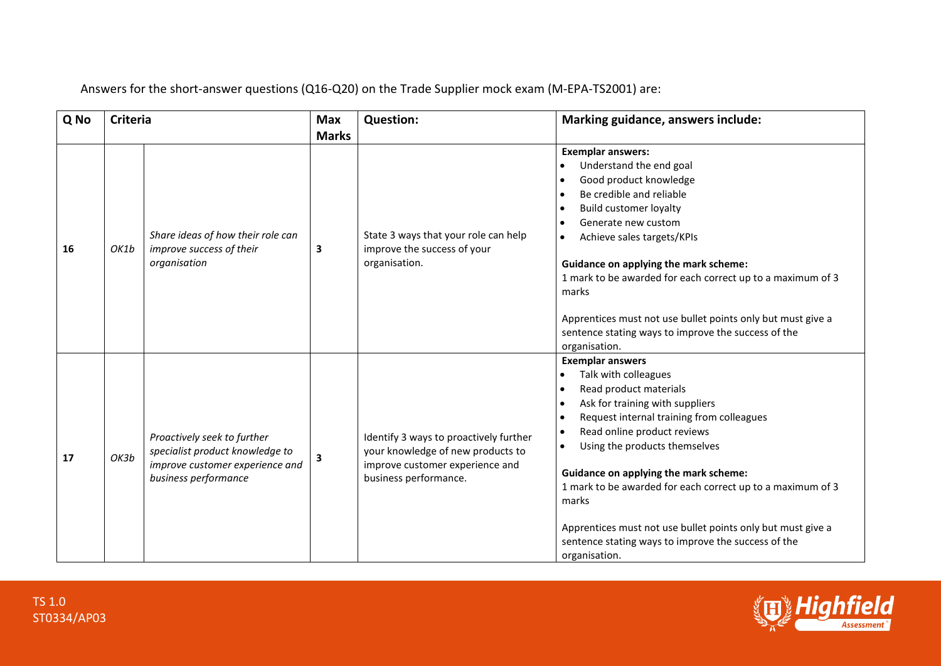Answers for the short-answer questions (Q16-Q20) on the Trade Supplier mock exam (M-EPA-TS2001) are:

| Q No | <b>Criteria</b> |                                                                                                                           | <b>Max</b>   | <b>Question:</b>                                                                                                                        | Marking guidance, answers include:                                                                                                                                                                                                                                                                                                                                                                                                                                                                                                                             |  |
|------|-----------------|---------------------------------------------------------------------------------------------------------------------------|--------------|-----------------------------------------------------------------------------------------------------------------------------------------|----------------------------------------------------------------------------------------------------------------------------------------------------------------------------------------------------------------------------------------------------------------------------------------------------------------------------------------------------------------------------------------------------------------------------------------------------------------------------------------------------------------------------------------------------------------|--|
|      |                 |                                                                                                                           | <b>Marks</b> |                                                                                                                                         |                                                                                                                                                                                                                                                                                                                                                                                                                                                                                                                                                                |  |
| 16   | OK1b            | Share ideas of how their role can<br>improve success of their<br>organisation                                             | 3            | State 3 ways that your role can help<br>improve the success of your<br>organisation.                                                    | <b>Exemplar answers:</b><br>Understand the end goal<br>Good product knowledge<br>Be credible and reliable<br>$\bullet$<br><b>Build customer loyalty</b><br>Generate new custom<br>Achieve sales targets/KPIs<br>$\bullet$<br><b>Guidance on applying the mark scheme:</b><br>1 mark to be awarded for each correct up to a maximum of 3<br>marks<br>Apprentices must not use bullet points only but must give a<br>sentence stating ways to improve the success of the<br>organisation.                                                                        |  |
| 17   | OK3b            | Proactively seek to further<br>specialist product knowledge to<br>improve customer experience and<br>business performance | 3            | Identify 3 ways to proactively further<br>your knowledge of new products to<br>improve customer experience and<br>business performance. | <b>Exemplar answers</b><br>Talk with colleagues<br>$\bullet$<br>Read product materials<br>$\bullet$<br>Ask for training with suppliers<br>$\bullet$<br>Request internal training from colleagues<br>$\bullet$<br>Read online product reviews<br>$\bullet$<br>Using the products themselves<br>$\bullet$<br>Guidance on applying the mark scheme:<br>1 mark to be awarded for each correct up to a maximum of 3<br>marks<br>Apprentices must not use bullet points only but must give a<br>sentence stating ways to improve the success of the<br>organisation. |  |

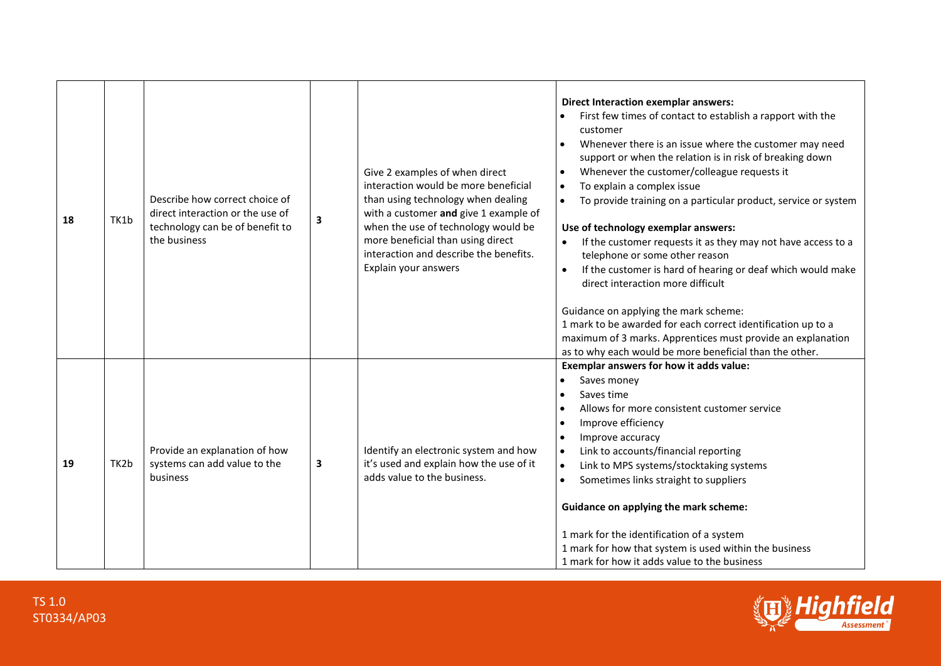| 18 | TK1b | Describe how correct choice of<br>direct interaction or the use of<br>technology can be of benefit to<br>the business | $\overline{\mathbf{3}}$ | Give 2 examples of when direct<br>interaction would be more beneficial<br>than using technology when dealing<br>with a customer and give 1 example of<br>when the use of technology would be<br>more beneficial than using direct<br>interaction and describe the benefits.<br>Explain your answers | <b>Direct Interaction exemplar answers:</b><br>First few times of contact to establish a rapport with the<br>customer<br>Whenever there is an issue where the customer may need<br>$\bullet$<br>support or when the relation is in risk of breaking down<br>Whenever the customer/colleague requests it<br>$\bullet$<br>To explain a complex issue<br>$\bullet$<br>To provide training on a particular product, service or system<br>$\bullet$<br>Use of technology exemplar answers:<br>If the customer requests it as they may not have access to a<br>telephone or some other reason<br>If the customer is hard of hearing or deaf which would make<br>$\bullet$<br>direct interaction more difficult<br>Guidance on applying the mark scheme:<br>1 mark to be awarded for each correct identification up to a |
|----|------|-----------------------------------------------------------------------------------------------------------------------|-------------------------|-----------------------------------------------------------------------------------------------------------------------------------------------------------------------------------------------------------------------------------------------------------------------------------------------------|-------------------------------------------------------------------------------------------------------------------------------------------------------------------------------------------------------------------------------------------------------------------------------------------------------------------------------------------------------------------------------------------------------------------------------------------------------------------------------------------------------------------------------------------------------------------------------------------------------------------------------------------------------------------------------------------------------------------------------------------------------------------------------------------------------------------|
| 19 | TK2b | Provide an explanation of how<br>systems can add value to the<br>business                                             | 3                       | Identify an electronic system and how<br>it's used and explain how the use of it<br>adds value to the business.                                                                                                                                                                                     | maximum of 3 marks. Apprentices must provide an explanation<br>as to why each would be more beneficial than the other.<br>Exemplar answers for how it adds value:<br>Saves money<br>Saves time<br>$\bullet$<br>Allows for more consistent customer service<br>$\bullet$<br>Improve efficiency<br>$\bullet$<br>Improve accuracy<br>$\bullet$<br>Link to accounts/financial reporting<br>$\bullet$<br>$\bullet$<br>Link to MPS systems/stocktaking systems<br>Sometimes links straight to suppliers<br>$\bullet$<br><b>Guidance on applying the mark scheme:</b><br>1 mark for the identification of a system<br>1 mark for how that system is used within the business<br>1 mark for how it adds value to the business                                                                                             |